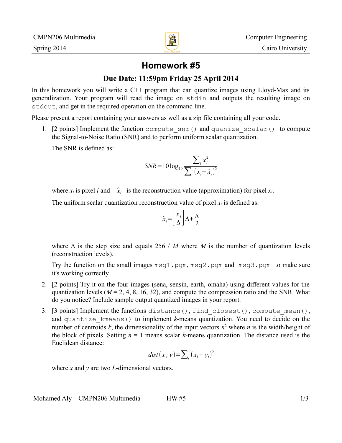

# **Homework #5**

### **Due Date: 11:59pm Friday 25 April 2014**

In this homework you will write a  $C^{++}$  program that can quantize images using Lloyd-Max and its generalization. Your program will read the image on stdin and outputs the resulting image on stdout, and get in the required operation on the command line.

Please present a report containing your answers as well as a zip file containing all your code.

1. [2 points] Implement the function compute\_snr() and quanize\_scalar() to compute the Signal-to-Noise Ratio (SNR) and to perform uniform scalar quantization.

The SNR is defined as:

$$
SNR = 10 \log_{10} \frac{\sum_{i} x_i^2}{\sum_{i} (x_i - \hat{x}_i)^2}
$$

where  $x_i$  is pixel *i* and  $\hat{x}_i$  is the reconstruction value (approximation) for pixel  $x_i$ .

The uniform scalar quantization reconstruction value of pixel  $x_i$  is defined as:

$$
\hat{x}_i = \left\lfloor \frac{x_i}{\Delta} \right\rfloor \Delta + \frac{\Delta}{2}
$$

where  $\Delta$  is the step size and equals 256 / *M* where *M* is the number of quantization levels (reconstruction levels).

Try the function on the small images  $msq1.pgm, msq2.pgm$  and  $msq3.pgm$  to make sure it's working correctly.

- 2. [2 points] Try it on the four images (sena, sensin, earth, omaha) using different values for the quantization levels  $(M = 2, 4, 8, 16, 32)$ , and compute the compression ratio and the SNR. What do you notice? Include sample output quantized images in your report.
- 3. [3 points] Implement the functions distance(), find\_closest(), compute\_mean(), and quantize kmeans() to implement *k*-means quantization. You need to decide on the number of centroids  $k$ , the dimensionality of the input vectors  $n^2$  where *n* is the width/height of the block of pixels. Setting  $n = 1$  means scalar *k*-means quantization. The distance used is the Euclidean distance:

$$
dist(x, y) = \sum_{i} (x_i - y_i)^2
$$

where *x* and *y* are two *L*-dimensional vectors.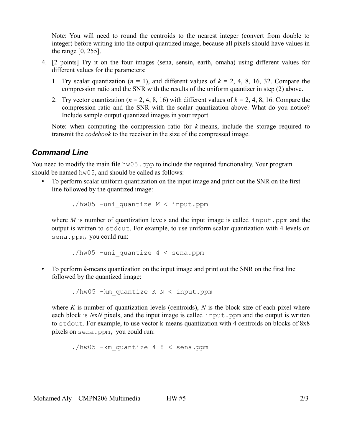Note: You will need to round the centroids to the nearest integer (convert from double to integer) before writing into the output quantized image, because all pixels should have values in the range [0, 255].

- 4. [2 points] Try it on the four images (sena, sensin, earth, omaha) using different values for different values for the parameters:
	- 1. Try scalar quantization  $(n = 1)$ , and different values of  $k = 2, 4, 8, 16, 32$ . Compare the compression ratio and the SNR with the results of the uniform quantizer in step (2) above.
	- 2. Try vector quantization ( $n = 2, 4, 8, 16$ ) with different values of  $k = 2, 4, 8, 16$ . Compare the compression ratio and the SNR with the scalar quantization above. What do you notice? Include sample output quantized images in your report.

Note: when computing the compression ratio for *k*-means, include the storage required to transmit the *codebook* to the receiver in the size of the compressed image.

## *Command Line*

You need to modify the main file hw05.cpp to include the required functionality. Your program should be named hw05, and should be called as follows:

• To perform scalar uniform quantization on the input image and print out the SNR on the first line followed by the quantized image:

./hw05 -uni\_quantize M < input.ppm

where *M* is number of quantization levels and the input image is called input.ppm and the output is written to stdout. For example, to use uniform scalar quantization with 4 levels on sena.ppm, you could run:

./hw05 -uni quantize  $4 <$  sena.ppm

• To perform *k*-means quantization on the input image and print out the SNR on the first line followed by the quantized image:

./hw05 -km\_quantize K N < input.ppm

where  $K$  is number of quantization levels (centroids),  $N$  is the block size of each pixel where each block is *NxN* pixels, and the input image is called input.ppm and the output is written to stdout. For example, to use vector k-means quantization with 4 centroids on blocks of 8x8 pixels on sena.ppm, you could run:

./hw05 -km\_quantize 4 8 < sena.ppm